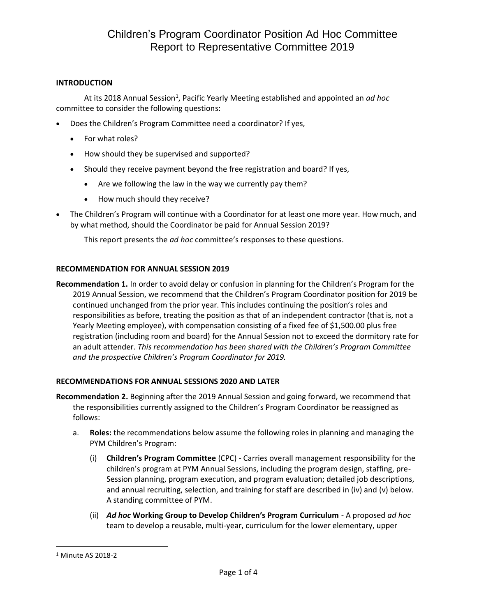## **INTRODUCTION**

At its 2018 Annual Session<sup>1</sup>, Pacific Yearly Meeting established and appointed an *ad hoc* committee to consider the following questions:

- Does the Children's Program Committee need a coordinator? If yes,
	- For what roles?
	- How should they be supervised and supported?
	- Should they receive payment beyond the free registration and board? If yes,
		- Are we following the law in the way we currently pay them?
		- How much should they receive?
- The Children's Program will continue with a Coordinator for at least one more year. How much, and by what method, should the Coordinator be paid for Annual Session 2019?

This report presents the *ad hoc* committee's responses to these questions.

### **RECOMMENDATION FOR ANNUAL SESSION 2019**

**Recommendation 1.** In order to avoid delay or confusion in planning for the Children's Program for the 2019 Annual Session, we recommend that the Children's Program Coordinator position for 2019 be continued unchanged from the prior year. This includes continuing the position's roles and responsibilities as before, treating the position as that of an independent contractor (that is, not a Yearly Meeting employee), with compensation consisting of a fixed fee of \$1,500.00 plus free registration (including room and board) for the Annual Session not to exceed the dormitory rate for an adult attender. *This recommendation has been shared with the Children's Program Committee and the prospective Children's Program Coordinator for 2019.*

### **RECOMMENDATIONS FOR ANNUAL SESSIONS 2020 AND LATER**

**Recommendation 2.** Beginning after the 2019 Annual Session and going forward, we recommend that the responsibilities currently assigned to the Children's Program Coordinator be reassigned as follows:

- a. **Roles:** the recommendations below assume the following roles in planning and managing the PYM Children's Program:
	- (i) **Children's Program Committee** (CPC) Carries overall management responsibility for the children's program at PYM Annual Sessions, including the program design, staffing, pre-Session planning, program execution, and program evaluation; detailed job descriptions, and annual recruiting, selection, and training for staff are described in (iv) and (v) below. A standing committee of PYM.
	- (ii) *Ad hoc* **Working Group to Develop Children's Program Curriculum** A proposed *ad hoc* team to develop a reusable, multi-year, curriculum for the lower elementary, upper

l

<sup>1</sup> Minute AS 2018-2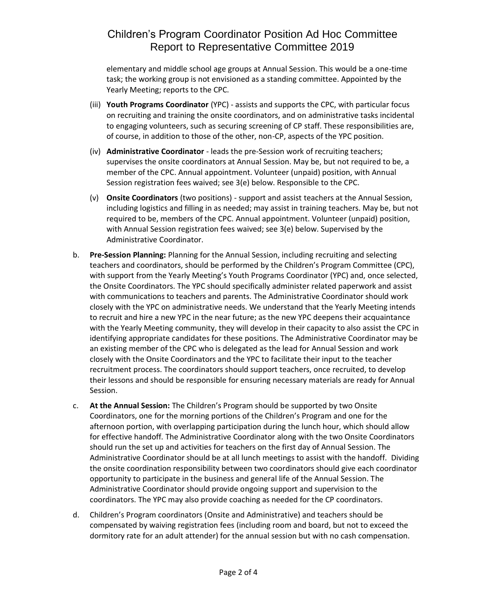## Children's Program Coordinator Position Ad Hoc Committee Report to Representative Committee 2019

elementary and middle school age groups at Annual Session. This would be a one-time task; the working group is not envisioned as a standing committee. Appointed by the Yearly Meeting; reports to the CPC.

- (iii) **Youth Programs Coordinator** (YPC) assists and supports the CPC, with particular focus on recruiting and training the onsite coordinators, and on administrative tasks incidental to engaging volunteers, such as securing screening of CP staff. These responsibilities are, of course, in addition to those of the other, non-CP, aspects of the YPC position.
- (iv) **Administrative Coordinator** leads the pre-Session work of recruiting teachers; supervises the onsite coordinators at Annual Session. May be, but not required to be, a member of the CPC. Annual appointment. Volunteer (unpaid) position, with Annual Session registration fees waived; see 3(e) below. Responsible to the CPC.
- (v) **Onsite Coordinators** (two positions) support and assist teachers at the Annual Session, including logistics and filling in as needed; may assist in training teachers. May be, but not required to be, members of the CPC. Annual appointment. Volunteer (unpaid) position, with Annual Session registration fees waived; see 3(e) below. Supervised by the Administrative Coordinator.
- b. **Pre-Session Planning:** Planning for the Annual Session, including recruiting and selecting teachers and coordinators, should be performed by the Children's Program Committee (CPC), with support from the Yearly Meeting's Youth Programs Coordinator (YPC) and, once selected, the Onsite Coordinators. The YPC should specifically administer related paperwork and assist with communications to teachers and parents. The Administrative Coordinator should work closely with the YPC on administrative needs. We understand that the Yearly Meeting intends to recruit and hire a new YPC in the near future; as the new YPC deepens their acquaintance with the Yearly Meeting community, they will develop in their capacity to also assist the CPC in identifying appropriate candidates for these positions. The Administrative Coordinator may be an existing member of the CPC who is delegated as the lead for Annual Session and work closely with the Onsite Coordinators and the YPC to facilitate their input to the teacher recruitment process. The coordinators should support teachers, once recruited, to develop their lessons and should be responsible for ensuring necessary materials are ready for Annual Session.
- c. **At the Annual Session:** The Children's Program should be supported by two Onsite Coordinators, one for the morning portions of the Children's Program and one for the afternoon portion, with overlapping participation during the lunch hour, which should allow for effective handoff. The Administrative Coordinator along with the two Onsite Coordinators should run the set up and activities for teachers on the first day of Annual Session. The Administrative Coordinator should be at all lunch meetings to assist with the handoff. Dividing the onsite coordination responsibility between two coordinators should give each coordinator opportunity to participate in the business and general life of the Annual Session. The Administrative Coordinator should provide ongoing support and supervision to the coordinators. The YPC may also provide coaching as needed for the CP coordinators.
- d. Children's Program coordinators (Onsite and Administrative) and teachers should be compensated by waiving registration fees (including room and board, but not to exceed the dormitory rate for an adult attender) for the annual session but with no cash compensation.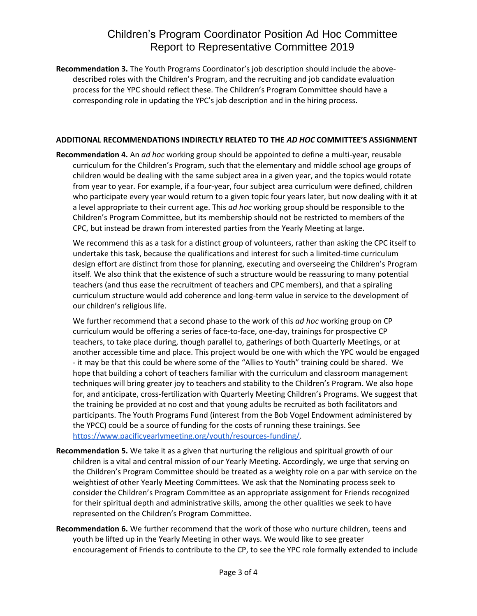## Children's Program Coordinator Position Ad Hoc Committee Report to Representative Committee 2019

**Recommendation 3.** The Youth Programs Coordinator's job description should include the abovedescribed roles with the Children's Program, and the recruiting and job candidate evaluation process for the YPC should reflect these. The Children's Program Committee should have a corresponding role in updating the YPC's job description and in the hiring process.

#### **ADDITIONAL RECOMMENDATIONS INDIRECTLY RELATED TO THE** *AD HOC* **COMMITTEE'S ASSIGNMENT**

**Recommendation 4.** An *ad hoc* working group should be appointed to define a multi-year, reusable curriculum for the Children's Program, such that the elementary and middle school age groups of children would be dealing with the same subject area in a given year, and the topics would rotate from year to year. For example, if a four-year, four subject area curriculum were defined, children who participate every year would return to a given topic four years later, but now dealing with it at a level appropriate to their current age. This *ad hoc* working group should be responsible to the Children's Program Committee, but its membership should not be restricted to members of the CPC, but instead be drawn from interested parties from the Yearly Meeting at large.

We recommend this as a task for a distinct group of volunteers, rather than asking the CPC itself to undertake this task, because the qualifications and interest for such a limited-time curriculum design effort are distinct from those for planning, executing and overseeing the Children's Program itself. We also think that the existence of such a structure would be reassuring to many potential teachers (and thus ease the recruitment of teachers and CPC members), and that a spiraling curriculum structure would add coherence and long-term value in service to the development of our children's religious life.

We further recommend that a second phase to the work of this *ad hoc* working group on CP curriculum would be offering a series of face-to-face, one-day, trainings for prospective CP teachers, to take place during, though parallel to, gatherings of both Quarterly Meetings, or at another accessible time and place. This project would be one with which the YPC would be engaged - it may be that this could be where some of the "Allies to Youth" training could be shared. We hope that building a cohort of teachers familiar with the curriculum and classroom management techniques will bring greater joy to teachers and stability to the Children's Program. We also hope for, and anticipate, cross-fertilization with Quarterly Meeting Children's Programs. We suggest that the training be provided at no cost and that young adults be recruited as both facilitators and participants. The Youth Programs Fund (interest from the Bob Vogel Endowment administered by the YPCC) could be a source of funding for the costs of running these trainings. See [https://www.pacificyearlymeeting.org/youth/resources-funding/.](https://www.pacificyearlymeeting.org/youth/resources-funding/)

- **Recommendation 5.** We take it as a given that nurturing the religious and spiritual growth of our children is a vital and central mission of our Yearly Meeting. Accordingly, we urge that serving on the Children's Program Committee should be treated as a weighty role on a par with service on the weightiest of other Yearly Meeting Committees. We ask that the Nominating process seek to consider the Children's Program Committee as an appropriate assignment for Friends recognized for their spiritual depth and administrative skills, among the other qualities we seek to have represented on the Children's Program Committee.
- **Recommendation 6.** We further recommend that the work of those who nurture children, teens and youth be lifted up in the Yearly Meeting in other ways. We would like to see greater encouragement of Friends to contribute to the CP, to see the YPC role formally extended to include